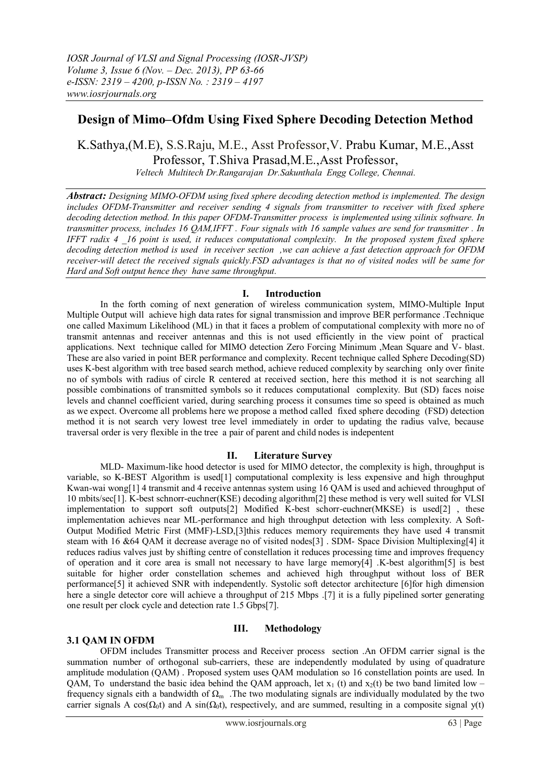# **Design of Mimo–Ofdm Using Fixed Sphere Decoding Detection Method**

K.Sathya,(M.E), S.S.Raju, M.E., Asst Professor,V. Prabu Kumar, M.E.,Asst Professor, T.Shiva Prasad,M.E.,Asst Professor,

*Veltech Multitech Dr.Rangarajan Dr.Sakunthala Engg College, Chennai.*

*Abstract: Designing MIMO-OFDM using fixed sphere decoding detection method is implemented. The design includes OFDM-Transmitter and receiver sending 4 signals from transmitter to receiver with fixed sphere decoding detection method. In this paper OFDM-Transmitter process is implemented using xilinix software. In transmitter process, includes 16 QAM,IFFT . Four signals with 16 sample values are send for transmitter . In IFFT radix 4 \_16 point is used, it reduces computational complexity. In the proposed system fixed sphere decoding detection method is used in receiver section ,we can achieve a fast detection approach for OFDM receiver-will detect the received signals quickly.FSD advantages is that no of visited nodes will be same for Hard and Soft output hence they have same throughput.*

# **I. Introduction**

In the forth coming of next generation of wireless communication system, MIMO-Multiple Input Multiple Output will achieve high data rates for signal transmission and improve BER performance .Technique one called Maximum Likelihood (ML) in that it faces a problem of computational complexity with more no of transmit antennas and receiver antennas and this is not used efficiently in the view point of practical applications. Next technique called for MIMO detection Zero Forcing Minimum ,Mean Square and V- blast. These are also varied in point BER performance and complexity. Recent technique called Sphere Decoding(SD) uses K-best algorithm with tree based search method, achieve reduced complexity by searching only over finite no of symbols with radius of circle R centered at received section, here this method it is not searching all possible combinations of transmitted symbols so it reduces computational complexity. But (SD) faces noise levels and channel coefficient varied, during searching process it consumes time so speed is obtained as much as we expect. Overcome all problems here we propose a method called fixed sphere decoding (FSD) detection method it is not search very lowest tree level immediately in order to updating the radius valve, because traversal order is very flexible in the tree a pair of parent and child nodes is indepentent

# **II. Literature Survey**

MLD- Maximum-like hood detector is used for MIMO detector, the complexity is high, throughput is variable, so K-BEST Algorithm is used[1] computational complexity is less expensive and high throughput Kwan-wai wong[1] 4 transmit and 4 receive antennas system using 16 QAM is used and achieved throughput of 10 mbits/sec[1]. K-best schnorr-euchner(KSE) decoding algorithm[2] these method is very well suited for VLSI implementation to support soft outputs[2] Modified K-best schorr-euchner(MKSE) is used[2] , these implementation achieves near ML-performance and high throughput detection with less complexity. A Soft-Output Modified Metric First (MMF)-LSD,[3]this reduces memory requirements they have used 4 transmit steam with 16 &64 QAM it decrease average no of visited nodes[3] . SDM- Space Division Multiplexing[4] it reduces radius valves just by shifting centre of constellation it reduces processing time and improves frequency of operation and it core area is small not necessary to have large memory[4] .K-best algorithm[5] is best suitable for higher order constellation schemes and achieved high throughput without loss of BER performance[5] it achieved SNR with independently. Systolic soft detector architecture [6]for high dimension here a single detector core will achieve a throughput of 215 Mbps .[7] it is a fully pipelined sorter generating one result per clock cycle and detection rate 1.5 Gbps[7].

# **3.1 QAM IN OFDM**

### **III. Methodology**

OFDM includes Transmitter process and Receiver process section .An OFDM carrier signal is the summation number of orthogonal sub-carriers, these are independently modulated by using of [quadrature](http://en.wikipedia.org/wiki/Quadrature_amplitude_modulation)  [amplitude modulation](http://en.wikipedia.org/wiki/Quadrature_amplitude_modulation) (QAM) . Proposed system uses QAM modulation so 16 constellation points are used. In QAM, To understand the basic idea behind the QAM approach, let  $x_1$  (t) and  $x_2(t)$  be two band limited low – frequency signals eith a bandwidth of  $\Omega_m$ . The two modulating signals are individually modulated by the two carrier signals A cos( $\Omega_0$ t) and A sin( $\Omega_0$ t), respectively, and are summed, resulting in a composite signal y(t)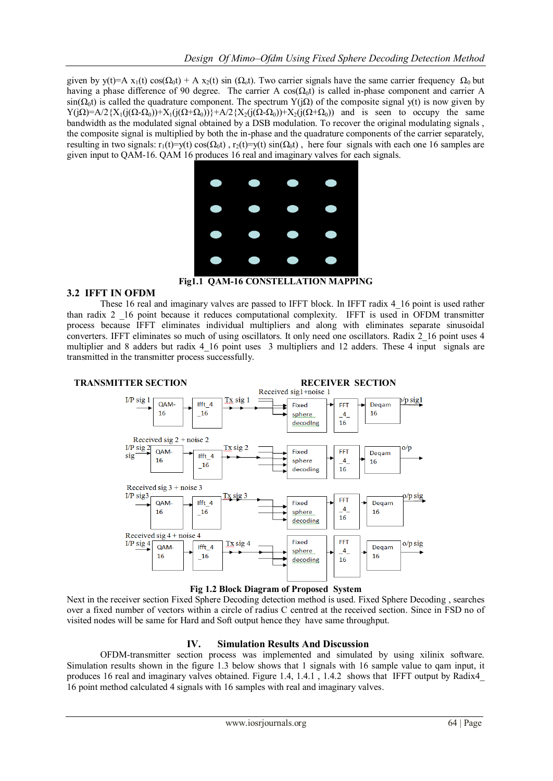given by y(t)=A x<sub>1</sub>(t) cos( $\Omega_0$ t) + A x<sub>2</sub>(t) sin ( $\Omega_0$ t). Two carrier signals have the same carrier frequency  $\Omega_0$  but having a phase difference of 90 degree. The carrier A cos( $\Omega_0$ t) is called in-phase component and carrier A  $\sin(\Omega_0 t)$  is called the quadrature component. The spectrum Y(j $\Omega$ ) of the composite signal y(t) is now given by  $Y(jΩ)=A/2{X_1(j(Ω-Ω_0))+X_1(j(Ω+Ω_0))}+A/2{X_2(j(Ω-Ω_0))+X_2(j(Ω+Ω_0))}$  and is seen to occupy the same bandwidth as the modulated signal obtained by a DSB modulation. To recover the original modulating signals , the composite signal is multiplied by both the in-phase and the quadrature components of the carrier separately, resulting in two signals:  $r_1(t)=y(t)\cos(\Omega_0 t)$ ,  $r_2(t)=y(t)\sin(\Omega_0 t)$ , here four signals with each one 16 samples are given input to QAM-16. QAM 16 produces 16 real and imaginary valves for each signals.



### **Fig1.1 QAM-16 CONSTELLATION MAPPING**

#### **3.2 IFFT IN OFDM**

These 16 real and imaginary valves are passed to IFFT block. In IFFT radix 4 16 point is used rather than radix 2 \_16 point because it reduces computational complexity. IFFT is used in OFDM transmitter process because IFFT eliminates individual multipliers and along with eliminates separate sinusoidal converters. IFFT eliminates so much of using oscillators. It only need one oscillators. Radix 2\_16 point uses 4 multiplier and 8 adders but radix 4 16 point uses 3 multipliers and 12 adders. These 4 input signals are transmitted in the transmitter process successfully.



**Fig 1.2 Block Diagram of Proposed System**

Next in the receiver section Fixed Sphere Decoding detection method is used. Fixed Sphere Decoding , searches over a fixed number of vectors within a circle of radius C centred at the received section. Since in FSD no of visited nodes will be same for Hard and Soft output hence they have same throughput.

### **IV. Simulation Results And Discussion**

OFDM-transmitter section process was implemented and simulated by using xilinix software. Simulation results shown in the figure 1.3 below shows that 1 signals with 16 sample value to qam input, it produces 16 real and imaginary valves obtained. Figure 1.4, 1.4.1 , 1.4.2 shows that IFFT output by Radix4\_ 16 point method calculated 4 signals with 16 samples with real and imaginary valves.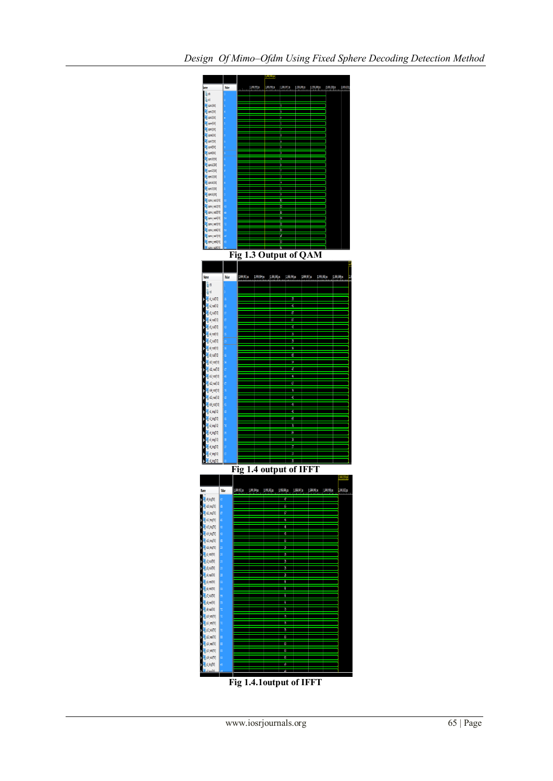

**Fig 1.4.1output of IFFT**